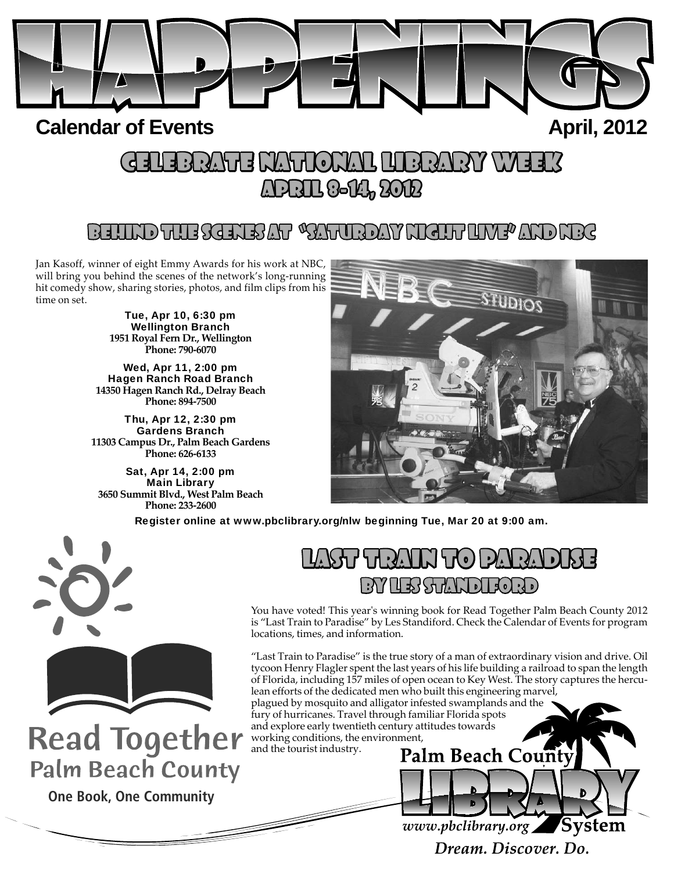

## **Calendar of Events April, 2012**

# CELEBRATE I LIBRATE NATIONAL LIBRARY WEEK ELEBRATED APRIL 8-14, 2012

# BEHIND THE SCENES AT "SATURDAY NIGHT LIVE" AND NBC

Jan Kasoff, winner of eight Emmy Awards for his work at NBC, will bring you behind the scenes of the network's long-running hit comedy show, sharing stories, photos, and film clips from his time on set.

> Tue, Apr 10, 6:30 pm Wellington Branch **1951 Royal Fern Dr., Wellington Phone: 790-6070**

Wed, Apr 11, 2:00 pm Hagen Ranch Road Branch **14350 Hagen Ranch Rd., Delray Beach Phone: 894-7500**

Thu, Apr 12, 2:30 pm Gardens Branch **11303 Campus Dr., Palm Beach Gardens Phone: 626-6133**

Sat, Apr 14, 2:00 pm Main Library **3650 Summit Blvd., West Palm Beach Phone: 233-2600**



Register online at www.pbclibrary.org/nlw beginning Tue, Mar 20 at 9:00 am.



**Read Together Palm Beach County** 

**One Book, One Community**

# \\\\\\\\\\\\\\\) BY LES STANDIFORD Y

You have voted! This year's winning book for Read Together Palm Beach County 2012 is "Last Train to Paradise" by Les Standiford. Check the Calendar of Events for program locations, times, and information.

"Last Train to Paradise" is the true story of a man of extraordinary vision and drive. Oil tycoon Henry Flagler spent the last years of his life building a railroad to span the length of Florida, including 157 miles of open ocean to Key West. The story captures the herculean efforts of the dedicated men who built this engineering marvel, plagued by mosquito and alligator infested swamplands and the fury of hurricanes. Travel through familiar Florida spots and explore early twentieth century attitudes towards working conditions, the environment, and the tourist industry.**Palm Beach County** 

> www.pbclibrary.org System Dream, Discover, Do.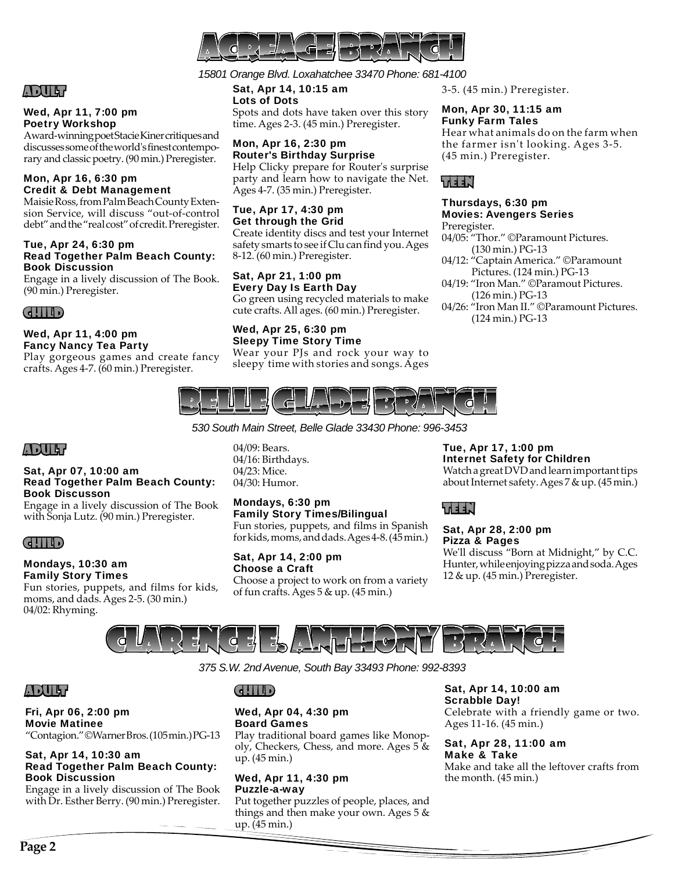

## ADULT

## Wed, Apr 11, 7:00 pm Poetry Workshop

Award-winning poet Stacie Kiner critiques and discusses some of the world's finest contemporary and classic poetry. (90 min.) Preregister.

## Mon, Apr 16, 6:30 pm Credit & Debt Management

Maisie Ross, from Palm Beach County Extension Service, will discuss "out-of-control debt" and the "real cost" of credit. Preregister.

#### Tue, Apr 24, 6:30 pm Read Together Palm Beach County: Book Discussion

Engage in a lively discussion of The Book. (90 min.) Preregister.

## CHILD

## Wed, Apr 11, 4:00 pm Fancy Nancy Tea Party

Play gorgeous games and create fancy crafts. Ages 4-7. (60 min.) Preregister.

## *15801 Orange Blvd. Loxahatchee 33470 Phone: 681-4100*

Sat, Apr 14, 10:15 am Lots of Dots Spots and dots have taken over this story time. Ages 2-3. (45 min.) Preregister.

## Mon, Apr 16, 2:30 pm Router's Birthday Surprise

Help Clicky prepare for Router's surprise party and learn how to navigate the Net. Ages 4-7. (35 min.) Preregister.

## Tue, Apr 17, 4:30 pm Get through the Grid

Create identity discs and test your Internet safety smarts to see if Clu can find you. Ages 8-12. (60 min.) Preregister.

## Sat, Apr 21, 1:00 pm Every Day Is Earth Day Go green using recycled materials to make cute crafts. All ages. (60 min.) Preregister.

## Wed, Apr 25, 6:30 pm Sleepy Time Story Time

Wear your PJs and rock your way to sleepy time with stories and songs. Ages 3-5. (45 min.) Preregister.

## Mon, Apr 30, 11:15 am Funky Farm Tales

Hear what animals do on the farm when the farmer isn't looking. Ages 3-5. (45 min.) Preregister.

## TEEN

## Thursdays, 6:30 pm Movies: Avengers Series

## Preregister.

- 04/05: "Thor." ©Paramount Pictures. (130 min.) PG-13
- 04/12: "Captain America." ©Paramount Pictures. (124 min.) PG-13
- 04/19: "Iron Man." ©Paramout Pictures. (126 min.) PG-13
- 04/26: "Iron Man II." ©Paramount Pictures. (124 min.) PG-13



*530 South Main Street, Belle Glade 33430 Phone: 996-3453* 

## ADULT

## Sat, Apr 07, 10:00 am Read Together Palm Beach County: Book Discusson

Engage in a lively discussion of The Book with Sonja Lutz. (90 min.) Preregister.

## CHILD

## Mondays, 10:30 am

Family Story Times Fun stories, puppets, and films for kids, moms, and dads. Ages 2-5. (30 min.) 04/02: Rhyming.

04/09: Bears. 04/16: Birthdays. 04/23: Mice. 04/30: Humor.

## Mondays, 6:30 pm

Family Story Times/Bilingual Fun stories, puppets, and films in Spanish for kids, moms, and dads. Ages 4-8. (45 min.)

## Sat, Apr 14, 2:00 pm Choose a Craft

Choose a project to work on from a variety of fun crafts. Ages 5 & up. (45 min.)

## Tue, Apr 17, 1:00 pm Internet Safety for Children

Watch a great DVD and learn important tips about Internet safety. Ages 7 & up. (45 min.)

## TEEN

## Sat, Apr 28, 2:00 pm Pizza & Pages

We'll discuss "Born at Midnight," by C.C. Hunter, while enjoying pizza and soda. Ages 12 & up. (45 min.) Preregister.



*375 S.W. 2nd Avenue, South Bay 33493 Phone: 992-8393*

## ADULT

## Fri, Apr 06, 2:00 pm Movie Matinee

"Contagion." ©Warner Bros. (105 min.) PG-13

## Sat, Apr 14, 10:30 am Read Together Palm Beach County: Book Discussion

Engage in a lively discussion of The Book with Dr. Esther Berry. (90 min.) Preregister.

## Wed, Apr 04, 4:30 pm Board Games

Play traditional board games like Monopoly, Checkers, Chess, and more. Ages 5 & up. (45 min.)

## Wed, Apr 11, 4:30 pm Puzzle-a-way

Put together puzzles of people, places, and things and then make your own. Ages 5 & up. (45 min.)

Sat, Apr 14, 10:00 am Scrabble Day!

Celebrate with a friendly game or two. Ages 11-16. (45 min.)

Sat, Apr 28, 11:00 am Make & Take Make and take all the leftover crafts from the month. (45 min.)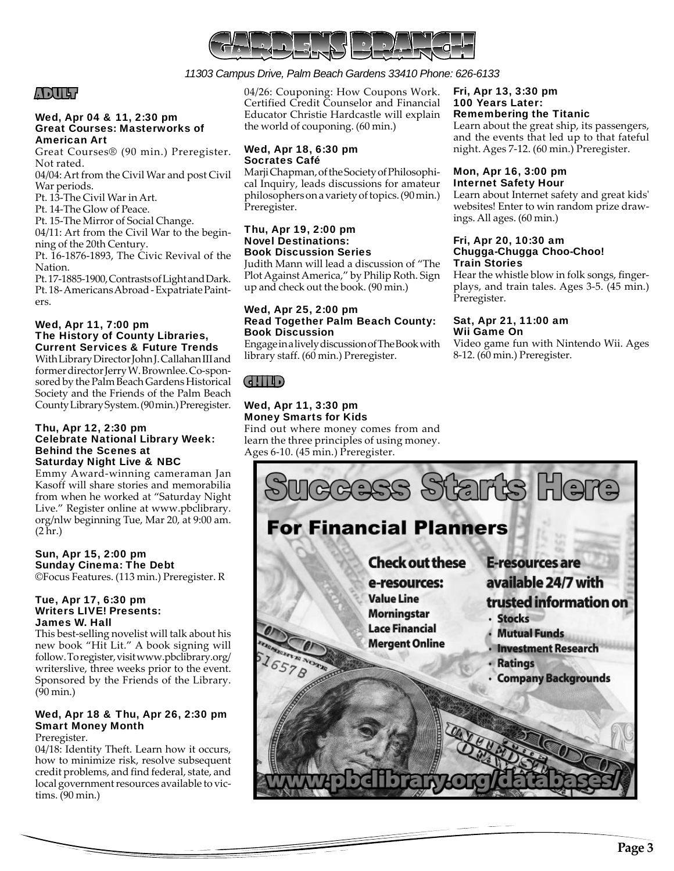

## *11303 Campus Drive, Palm Beach Gardens 33410 Phone: 626-6133*

## ADULT

## Wed, Apr 04 & 11, 2:30 pm Great Courses: Masterworks of American Art

Great Courses® (90 min.) Preregister. Not rated.

04/04: Art from the Civil War and post Civil War periods.

Pt. 13-The Civil War in Art.

Pt. 14-The Glow of Peace.

Pt. 15-The Mirror of Social Change.

04/11: Art from the Civil War to the beginning of the 20th Century.

Pt. 16-1876-1893, The Civic Revival of the Nation.

Pt. 17-1885-1900, Contrasts of Light and Dark. Pt. 18- Americans Abroad - Expatriate Painters.

## Wed, Apr 11, 7:00 pm The History of County Libraries, Current Services & Future Trends

With Library Director John J. Callahan III and former director Jerry W. Brownlee. Co-sponsored by the Palm Beach Gardens Historical Society and the Friends of the Palm Beach County Library System. (90 min.) Preregister.

#### Thu, Apr 12, 2:30 pm Celebrate National Library Week: Behind the Scenes at Saturday Night Live & NBC

Emmy Award-winning cameraman Jan Kasoff will share stories and memorabilia from when he worked at "Saturday Night Live." Register online at www.pbclibrary. org/nlw beginning Tue, Mar 20, at 9:00 am.  $(2 \text{ hr.})$ 

## Sun, Apr 15, 2:00 pm Sunday Cinema: The Debt

©Focus Features. (113 min.) Preregister. R

## Tue, Apr 17, 6:30 pm Writers LIVE! Presents: James W. Hall

This best-selling novelist will talk about his new book "Hit Lit." A book signing will follow. To register, visit www.pbclibrary.org/ writerslive, three weeks prior to the event. Sponsored by the Friends of the Library. (90 min.)

## Wed, Apr 18 & Thu, Apr 26, 2:30 pm Smart Money Month

Preregister.

04/18: Identity Theft. Learn how it occurs, how to minimize risk, resolve subsequent credit problems, and find federal, state, and local government resources available to victims. (90 min.)

04/26: Couponing: How Coupons Work. Certified Credit Counselor and Financial Educator Christie Hardcastle will explain the world of couponing. (60 min.)

## Wed, Apr 18, 6:30 pm Socrates Café

Marji Chapman, of the Society of Philosophical Inquiry, leads discussions for amateur philosophers on a variety of topics. (90 min.) Preregister.

#### Thu, Apr 19, 2:00 pm Novel Destinations: Book Discussion Series

Judith Mann will lead a discussion of "The Plot Against America," by Philip Roth. Sign up and check out the book. (90 min.)

## Wed, Apr 25, 2:00 pm Read Together Palm Beach County: Book Discussion

Engage in a lively discussion of The Book with library staff. (60 min.) Preregister.

## $(d|| ||$

## Wed, Apr 11, 3:30 pm Money Smarts for Kids

Find out where money comes from and learn the three principles of using money. Ages 6-10. (45 min.) Preregister.

#### Fri, Apr 13, 3:30 pm 100 Years Later: Remembering the Titanic

Learn about the great ship, its passengers, and the events that led up to that fateful night. Ages 7-12. (60 min.) Preregister.

## Mon, Apr 16, 3:00 pm Internet Safety Hour

Learn about Internet safety and great kids' websites! Enter to win random prize drawings. All ages. (60 min.)

#### Fri, Apr 20, 10:30 am Chugga-Chugga Choo-Choo! Train Stories

Hear the whistle blow in folk songs, fingerplays, and train tales. Ages 3-5. (45 min.) Preregister.

## Sat, Apr 21, 11:00 am Wii Game On

Video game fun with Nintendo Wii. Ages 8-12. (60 min.) Preregister.

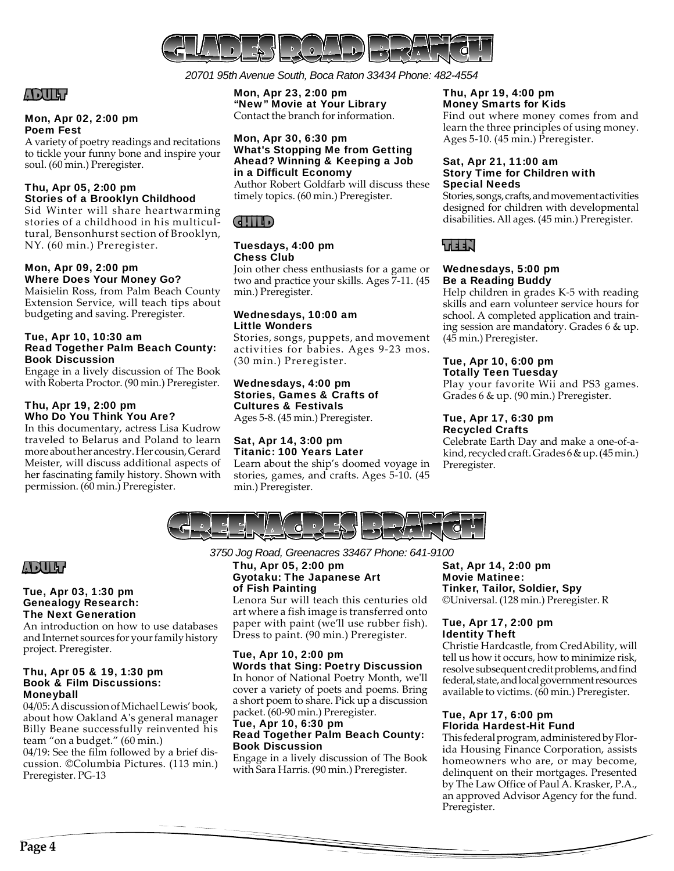

*20701 95th Avenue South, Boca Raton 33434 Phone: 482-4554*

## ADULT

## Mon, Apr 02, 2:00 pm Poem Fest

A variety of poetry readings and recitations to tickle your funny bone and inspire your soul. (60 min.) Preregister.

## Thu, Apr 05, 2:00 pm Stories of a Brooklyn Childhood

Sid Winter will share heartwarming stories of a childhood in his multicultural, Bensonhurst section of Brooklyn, NY. (60 min.) Preregister.

## Mon, Apr 09, 2:00 pm Where Does Your Money Go?

Maisielin Ross, from Palm Beach County Extension Service, will teach tips about budgeting and saving. Preregister.

## Tue, Apr 10, 10:30 am Read Together Palm Beach County: Book Discussion

Engage in a lively discussion of The Book with Roberta Proctor. (90 min.) Preregister.

## Thu, Apr 19, 2:00 pm Who Do You Think You Are?

In this documentary, actress Lisa Kudrow traveled to Belarus and Poland to learn more about her ancestry. Her cousin, Gerard Meister, will discuss additional aspects of her fascinating family history. Shown with permission. (60 min.) Preregister.

Mon, Apr 23, 2:00 pm "New" Movie at Your Library Contact the branch for information.

## Mon, Apr 30, 6:30 pm What's Stopping Me from Getting Ahead? Winning & Keeping a Job in a Difficult Economy

Author Robert Goldfarb will discuss these timely topics. (60 min.) Preregister.

## CHILD

## Tuesdays, 4:00 pm Chess Club

Join other chess enthusiasts for a game or two and practice your skills. Ages 7-11. (45 min.) Preregister.

## Wednesdays, 10:00 am Little Wonders

Stories, songs, puppets, and movement activities for babies. Ages 9-23 mos. (30 min.) Preregister.

## Wednesdays, 4:00 pm Stories, Games & Crafts of Cultures & Festivals

Ages 5-8. (45 min.) Preregister.

#### Sat, Apr 14, 3:00 pm Titanic: 100 Years Later

Learn about the ship's doomed voyage in stories, games, and crafts. Ages 5-10. (45 min.) Preregister.

#### Thu, Apr 19, 4:00 pm Money Smarts for Kids

Find out where money comes from and learn the three principles of using money. Ages 5-10. (45 min.) Preregister.

## Sat, Apr 21, 11:00 am Story Time for Children with Special Needs

Stories, songs, crafts, and movement activities designed for children with developmental disabilities. All ages. (45 min.) Preregister.

## TEEN

## Wednesdays, 5:00 pm Be a Reading Buddy

Help children in grades K-5 with reading skills and earn volunteer service hours for school. A completed application and training session are mandatory. Grades 6 & up. (45 min.) Preregister.

## Tue, Apr 10, 6:00 pm Totally Teen Tuesday

Play your favorite Wii and PS3 games. Grades 6 & up. (90 min.) Preregister.

#### Tue, Apr 17, 6:30 pm Recycled Crafts

Celebrate Earth Day and make a one-of-akind, recycled craft. Grades 6 & up. (45 min.) Preregister.



## ADULT

## Tue, Apr 03, 1:30 pm Genealogy Research: The Next Generation

An introduction on how to use databases and Internet sources for your family history project. Preregister.

## Thu, Apr 05 & 19, 1:30 pm Book & Film Discussions: Moneyball

04/05: A discussion of Michael Lewis' book, about how Oakland A's general manager Billy Beane successfully reinvented his team "on a budget." (60 min.) 04/19: See the film followed by a brief discussion. ©Columbia Pictures. (113 min.) Preregister. PG-13

*3750 Jog Road, Greenacres 33467 Phone: 641-9100*

## Thu, Apr 05, 2:00 pm Gyotaku: The Japanese Art of Fish Painting

Lenora Sur will teach this centuries old art where a fish image is transferred onto paper with paint (we'll use rubber fish). Dress to paint. (90 min.) Preregister.

## Tue, Apr 10, 2:00 pm Words that Sing: Poetry Discussion

In honor of National Poetry Month, we'll cover a variety of poets and poems. Bring a short poem to share. Pick up a discussion packet. (60-90 min.) Preregister.

#### Tue, Apr 10, 6:30 pm Read Together Palm Beach County: Book Discussion

Engage in a lively discussion of The Book with Sara Harris. (90 min.) Preregister.

Sat, Apr 14, 2:00 pm Movie Matinee: Tinker, Tailor, Soldier, Spy ©Universal. (128 min.) Preregister. R

## Tue, Apr 17, 2:00 pm Identity Theft

Christie Hardcastle, from CredAbility, will tell us how it occurs, how to minimize risk, resolve subsequent credit problems, and find federal, state, and local government resources available to victims. (60 min.) Preregister.

## Tue, Apr 17, 6:00 pm Florida Hardest-Hit Fund

This federal program, administered by Florida Housing Finance Corporation, assists homeowners who are, or may become, delinquent on their mortgages. Presented by The Law Office of Paul A. Krasker, P.A., an approved Advisor Agency for the fund. Preregister.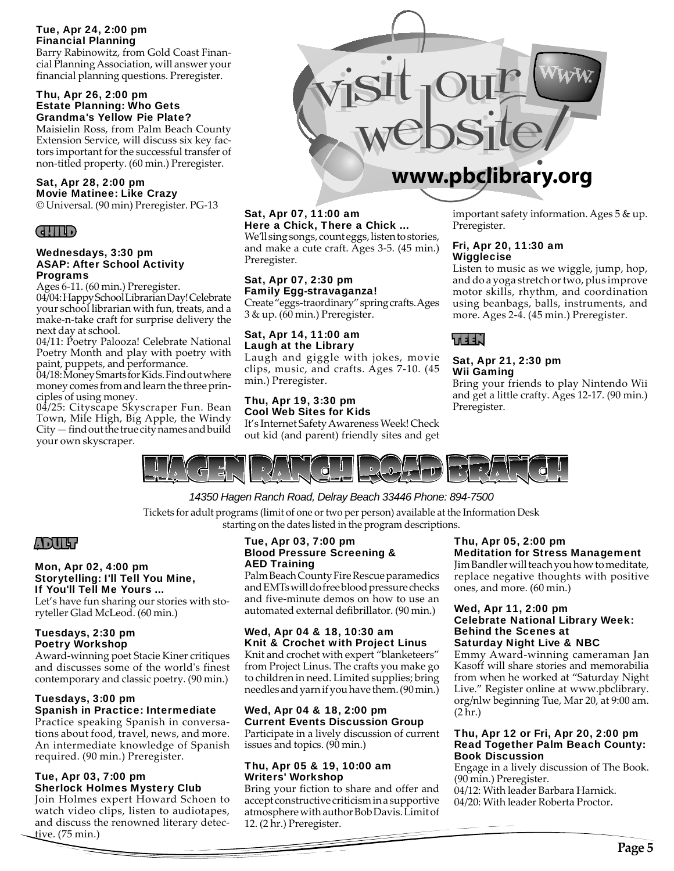## Tue, Apr 24, 2:00 pm Financial Planning

Barry Rabinowitz, from Gold Coast Financial Planning Association, will answer your financial planning questions. Preregister.

## Thu, Apr 26, 2:00 pm Estate Planning: Who Gets Grandma's Yellow Pie Plate?

Maisielin Ross, from Palm Beach County Extension Service, will discuss six key factors important for the successful transfer of non-titled property. (60 min.) Preregister.

#### Sat, Apr 28, 2:00 pm Movie Matinee: Like Crazy

© Universal. (90 min) Preregister. PG-13



## Wednesdays, 3:30 pm ASAP: After School Activity Programs

Ages 6-11. (60 min.) Preregister. 04/04: Happy School Librarian Day! Celebrate your school librarian with fun, treats, and a make-n-take craft for surprise delivery the next day at school.

04/11: Poetry Palooza! Celebrate National Poetry Month and play with poetry with paint, puppets, and performance.

04/18: Money Smarts for Kids. Find out where money comes from and learn the three principles of using money.

04/25: Cityscape Skyscraper Fun. Bean Town, Mile High, Big Apple, the Windy City — find out the true city names and build your own skyscraper.



## Sat, Apr 07, 11:00 am

Here a Chick, There a Chick ... We'll sing songs, count eggs, listen to stories, and make a cute craft. Ages 3-5. (45 min.) Preregister.

## Sat, Apr 07, 2:30 pm Family Egg-stravaganza!

Create "eggs-traordinary" spring crafts. Ages 3 & up. (60 min.) Preregister.

## Sat, Apr 14, 11:00 am Laugh at the Library

Laugh and giggle with jokes, movie clips, music, and crafts. Ages 7-10. (45 min.) Preregister.

#### Thu, Apr 19, 3:30 pm Cool Web Sites for Kids

It's Internet Safety Awareness Week! Check out kid (and parent) friendly sites and get

important safety information. Ages 5 & up. Preregister.

## Fri, Apr 20, 11:30 am **Wigglecise**

Listen to music as we wiggle, jump, hop, and do a yoga stretch or two, plus improve motor skills, rhythm, and coordination using beanbags, balls, instruments, and more. Ages 2-4. (45 min.) Preregister.

## TEEN

## Sat, Apr 21, 2:30 pm Wii Gaming

Bring your friends to play Nintendo Wii and get a little crafty. Ages 12-17. (90 min.) Preregister.



## *14350 Hagen Ranch Road, Delray Beach 33446 Phone: 894-7500*

Tickets for adult programs (limit of one or two per person) available at the Information Desk starting on the dates listed in the program descriptions.

## ADULT

#### Mon, Apr 02, 4:00 pm Storytelling: I'll Tell You Mine, If You'll Tell Me Yours ...

Let's have fun sharing our stories with storyteller Glad McLeod. (60 min.)

## Tuesdays, 2:30 pm Poetry Workshop

Award-winning poet Stacie Kiner critiques and discusses some of the world's finest contemporary and classic poetry. (90 min.)

#### Tuesdays, 3:00 pm Spanish in Practice: Intermediate

Practice speaking Spanish in conversations about food, travel, news, and more. An intermediate knowledge of Spanish required. (90 min.) Preregister.

## Tue, Apr 03, 7:00 pm Sherlock Holmes Mystery Club

Join Holmes expert Howard Schoen to watch video clips, listen to audiotapes, and discuss the renowned literary detective. (75 min.)

## Tue, Apr 03, 7:00 pm Blood Pressure Screening & AED Training

Palm Beach County Fire Rescue paramedics and EMTs will do free blood pressure checks and five-minute demos on how to use an automated external defibrillator. (90 min.)

## Wed, Apr 04 & 18, 10:30 am Knit & Crochet with Project Linus

Knit and crochet with expert "blanketeers" from Project Linus. The crafts you make go to children in need. Limited supplies; bring needles and yarn if you have them. (90 min.)

#### Wed, Apr 04 & 18, 2:00 pm Current Events Discussion Group

Participate in a lively discussion of current issues and topics. (90 min.)

## Thu, Apr 05 & 19, 10:00 am Writers' Workshop

Bring your fiction to share and offer and accept constructive criticism in a supportive atmosphere with author Bob Davis. Limit of 12. (2 hr.) Preregister.

## Thu, Apr 05, 2:00 pm Meditation for Stress Management

Jim Bandler will teach you how to meditate, replace negative thoughts with positive ones, and more. (60 min.)

## Wed, Apr 11, 2:00 pm Celebrate National Library Week: Behind the Scenes at Saturday Night Live & NBC

Emmy Award-winning cameraman Jan Kasoff will share stories and memorabilia from when he worked at "Saturday Night Live." Register online at www.pbclibrary. org/nlw beginning Tue, Mar 20, at 9:00 am. (2 hr.)

## Thu, Apr 12 or Fri, Apr 20, 2:00 pm Read Together Palm Beach County: Book Discussion

Engage in a lively discussion of The Book. (90 min.) Preregister.

04/12: With leader Barbara Harnick. 04/20: With leader Roberta Proctor.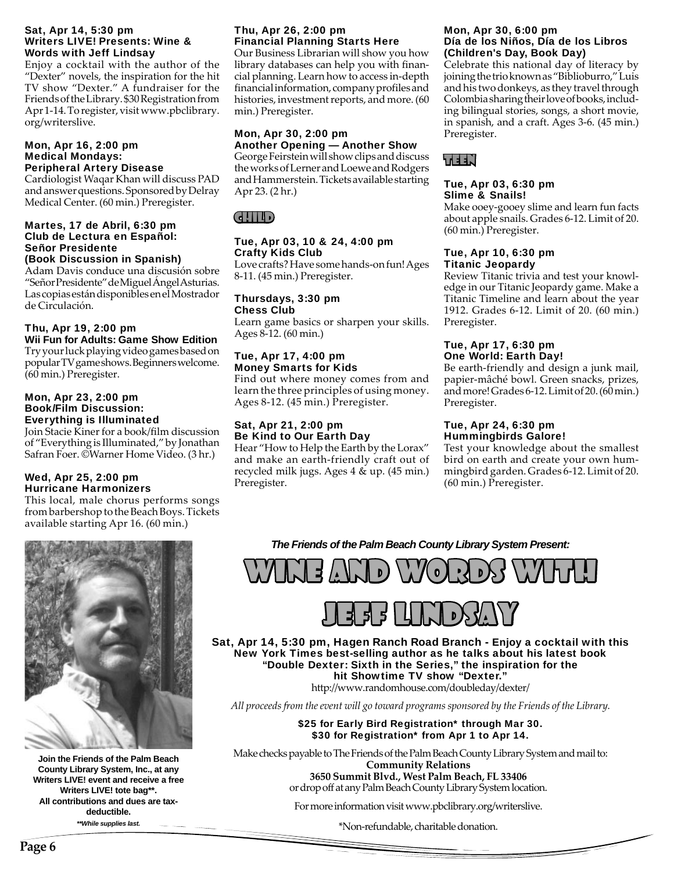## Sat, Apr 14, 5:30 pm Writers LIVE! Presents: Wine & Words with Jeff Lindsay

Enjoy a cocktail with the author of the "Dexter" novels, the inspiration for the hit TV show "Dexter." A fundraiser for the Friends of the Library. \$30 Registration from Apr 1-14. To register, visit www.pbclibrary. org/writerslive.

#### Mon, Apr 16, 2:00 pm Medical Mondays: Peripheral Artery Disease

Cardiologist Waqar Khan will discuss PAD and answer questions. Sponsored by Delray Medical Center. (60 min.) Preregister.

## Martes, 17 de Abril, 6:30 pm Club de Lectura en Español: Señor Presidente (Book Discussion in Spanish)

Adam Davis conduce una discusión sobre "Señor Presidente" de Miguel Ángel Asturias. Las copias están disponibles en el Mostrador de Circulación.

## Thu, Apr 19, 2:00 pm Wii Fun for Adults: Game Show Edition

Try your luck playing video games based on popular TV game shows. Beginners welcome. (60 min.) Preregister.

## Mon, Apr 23, 2:00 pm Book/Film Discussion: Everything is Illuminated

Join Stacie Kiner for a book/film discussion of "Everything is Illuminated," by Jonathan Safran Foer. ©Warner Home Video. (3 hr.)

## Wed, Apr 25, 2:00 pm Hurricane Harmonizers

This local, male chorus performs songs from barbershop to the Beach Boys. Tickets available starting Apr 16. (60 min.)

## Thu, Apr 26, 2:00 pm Financial Planning Starts Here

Our Business Librarian will show you how library databases can help you with financial planning. Learn how to access in-depth financial information, company profiles and histories, investment reports, and more. (60 min.) Preregister.

## Mon, Apr 30, 2:00 pm Another Opening — Another Show

George Feirstein will show clips and discuss the works of Lerner and Loewe and Rodgers and Hammerstein. Tickets available starting Apr 23. (2 hr.)

## CHILD

## Tue, Apr 03, 10 & 24, 4:00 pm Crafty Kids Club

Love crafts? Have some hands-on fun! Ages 8-11. (45 min.) Preregister.

## Thursdays, 3:30 pm Chess Club

Learn game basics or sharpen your skills. Ages 8-12. (60 min.)

## Tue, Apr 17, 4:00 pm Money Smarts for Kids

Find out where money comes from and learn the three principles of using money. Ages 8-12. (45 min.) Preregister.

## Sat, Apr 21, 2:00 pm Be Kind to Our Earth Day

Hear "How to Help the Earth by the Lorax" and make an earth-friendly craft out of recycled milk jugs. Ages 4 & up. (45 min.) Preregister.

## Mon, Apr 30, 6:00 pm Día de los Niños, Día de los Libros (Children's Day, Book Day)

Celebrate this national day of literacy by joining the trio known as "Biblioburro," Luis and his two donkeys, as they travel through Colombia sharing their love of books, including bilingual stories, songs, a short movie, in spanish, and a craft. Ages 3-6. (45 min.) Preregister.



## Tue, Apr 03, 6:30 pm Slime & Snails!

Make ooey-gooey slime and learn fun facts about apple snails. Grades 6-12. Limit of 20. (60 min.) Preregister.

## Tue, Apr 10, 6:30 pm Titanic Jeopardy

Review Titanic trivia and test your knowledge in our Titanic Jeopardy game. Make a Titanic Timeline and learn about the year 1912. Grades 6-12. Limit of 20. (60 min.) Preregister.

## Tue, Apr 17, 6:30 pm One World: Earth Day!

Be earth-friendly and design a junk mail, papier-mâché bowl. Green snacks, prizes, and more! Grades 6-12. Limit of 20. (60 min.) Preregister.

## Tue, Apr 24, 6:30 pm Hummingbirds Galore!

Test your knowledge about the smallest bird on earth and create your own hummingbird garden. Grades 6-12. Limit of 20. (60 min.) Preregister.

*The Friends of the Palm Beach County Library System Present:*



**Join the Friends of the Palm Beach County Library System, Inc., at any Writers LIVE! event and receive a free Writers LIVE! tote bag\*\*.** All contributions and dues are tax**deductible. eductible.** *\*\*While supplies last. \*While* 

WINE AND WORDS WITH



Sat, Apr 14, 5:30 pm, Hagen Ranch Road Branch - Enjoy a cocktail with this New York Times best-selling author as he talks about his latest book "Double Dexter: Sixth in the Series," the inspiration for the hit Showtime TV show "Dexter."

http://www.randomhouse.com/doubleday/dexter/

*All proceeds from the event will go toward programs sponsored by the Friends of the Library.*

\$25 for Early Bird Registration\* through Mar 30. \$30 for Registration\* from Apr 1 to Apr 14.

Make checks payable to The Friends of the Palm Beach County Library System and mail to: **Community Relations 3650 Summit Blvd., West Palm Beach, FL 33406** or drop off at any Palm Beach County Library System location.

For more information visit www.pbclibrary.org/writerslive.

\*Non-refundable, charitable donation.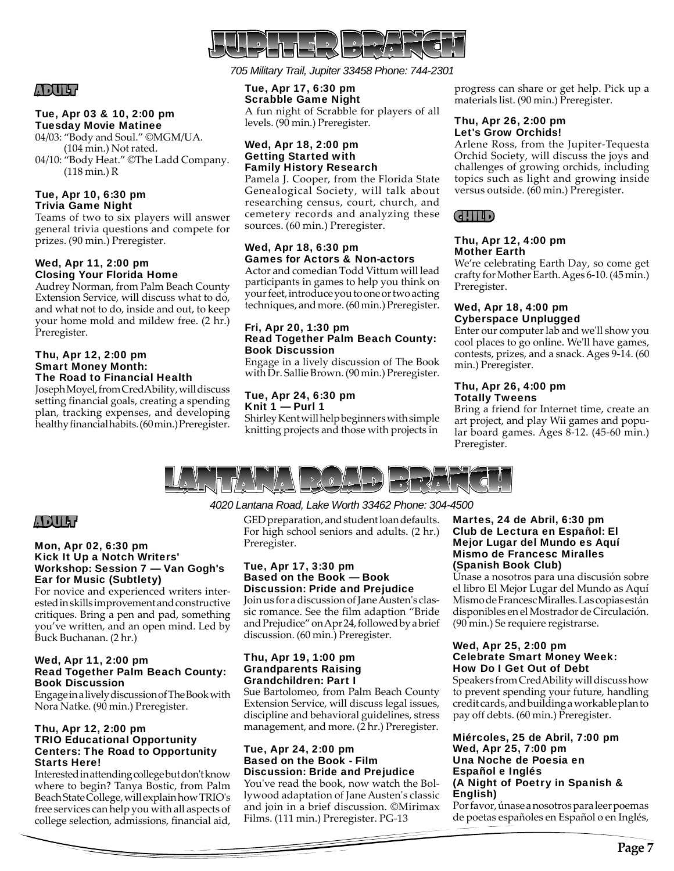

## ADULT

## Tue, Apr 03 & 10, 2:00 pm Tuesday Movie Matinee

04/03: "Body and Soul." ©MGM/UA. (104 min.) Not rated. 04/10: "Body Heat." ©The Ladd Company. (118 min.) R

## Tue, Apr 10, 6:30 pm Trivia Game Night

Teams of two to six players will answer general trivia questions and compete for prizes. (90 min.) Preregister.

## Wed, Apr 11, 2:00 pm Closing Your Florida Home

Audrey Norman, from Palm Beach County Extension Service, will discuss what to do, and what not to do, inside and out, to keep your home mold and mildew free. (2 hr.) Preregister.

## Thu, Apr 12, 2:00 pm Smart Money Month: The Road to Financial Health

Joseph Moyel, from CredAbility, will discuss setting financial goals, creating a spending plan, tracking expenses, and developing healthy financial habits. (60 min.) Preregister.

*705 Military Trail, Jupiter 33458 Phone: 744-2301*

## Tue, Apr 17, 6:30 pm

Scrabble Game Night A fun night of Scrabble for players of all levels. (90 min.) Preregister.

## Wed, Apr 18, 2:00 pm Getting Started with Family History Research

Pamela J. Cooper, from the Florida State Genealogical Society, will talk about researching census, court, church, and cemetery records and analyzing these sources. (60 min.) Preregister.

## Wed, Apr 18, 6:30 pm Games for Actors & Non-actors

Actor and comedian Todd Vittum will lead participants in games to help you think on your feet, introduce you to one or two acting techniques, and more. (60 min.) Preregister.

## Fri, Apr 20, 1:30 pm Read Together Palm Beach County: Book Discussion

Engage in a lively discussion of The Book with Dr. Sallie Brown. (90 min.) Preregister.

#### Tue, Apr 24, 6:30 pm Knit 1 — Purl 1

Shirley Kent will help beginners with simple knitting projects and those with projects in progress can share or get help. Pick up a materials list. (90 min.) Preregister.

## Thu, Apr 26, 2:00 pm Let's Grow Orchids!

Arlene Ross, from the Jupiter-Tequesta Orchid Society, will discuss the joys and challenges of growing orchids, including topics such as light and growing inside versus outside. (60 min.) Preregister.

## CHILD

## Thu, Apr 12, 4:00 pm Mother Earth

We're celebrating Earth Day, so come get crafty for Mother Earth. Ages 6-10. (45 min.) Preregister.

## Wed, Apr 18, 4:00 pm Cyberspace Unplugged

Enter our computer lab and we'll show you cool places to go online. We'll have games, contests, prizes, and a snack. Ages 9-14. (60 min.) Preregister.

## Thu, Apr 26, 4:00 pm Totally Tweens

Bring a friend for Internet time, create an art project, and play Wii games and popular board games. Ages 8-12. (45-60 min.) Preregister.



## *4020 Lantana Road, Lake Worth 33462 Phone: 304-4500*

GED preparation, and student loan defaults. For high school seniors and adults. (2 hr.) Preregister.

#### Tue, Apr 17, 3:30 pm Based on the Book — Book Discussion: Pride and Prejudice

Join us for a discussion of Jane Austen's classic romance. See the film adaption "Bride and Prejudice" on Apr 24, followed by a brief discussion. (60 min.) Preregister.

## Thu, Apr 19, 1:00 pm Grandparents Raising Grandchildren: Part I

Sue Bartolomeo, from Palm Beach County Extension Service, will discuss legal issues, discipline and behavioral guidelines, stress management, and more. (2 hr.) Preregister.

## Tue, Apr 24, 2:00 pm Based on the Book - Film Discussion: Bride and Prejudice

You've read the book, now watch the Bollywood adaptation of Jane Austen's classic and join in a brief discussion. ©Mirimax Films. (111 min.) Preregister. PG-13

#### Martes, 24 de Abril, 6:30 pm Club de Lectura en Español: El Mejor Lugar del Mundo es Aquí Mismo de Francesc Miralles (Spanish Book Club)

Únase a nosotros para una discusión sobre el libro El Mejor Lugar del Mundo as Aquí Mismo de Francesc Miralles. Las copias están disponibles en el Mostrador de Circulación. (90 min.) Se requiere registrarse.

## Wed, Apr 25, 2:00 pm Celebrate Smart Money Week: How Do I Get Out of Debt

Speakers from CredAbility will discuss how to prevent spending your future, handling credit cards, and building a workable plan to pay off debts. (60 min.) Preregister.

## Miércoles, 25 de Abril, 7:00 pm Wed, Apr 25, 7:00 pm Una Noche de Poesia en Español e Inglés (A Night of Poetry in Spanish & English)

Por favor, únase a nosotros para leer poemas de poetas españoles en Español o en Inglés,

## ADULT

## Mon, Apr 02, 6:30 pm Kick It Up a Notch Writers' Workshop: Session 7 — Van Gogh's Ear for Music (Subtlety)

For novice and experienced writers interested in skills improvement and constructive critiques. Bring a pen and pad, something you've written, and an open mind. Led by Buck Buchanan. (2 hr.)

## Wed, Apr 11, 2:00 pm Read Together Palm Beach County: Book Discussion

Engage in a lively discussion of The Book with Nora Natke. (90 min.) Preregister.

## Thu, Apr 12, 2:00 pm TRIO Educational Opportunity Centers: The Road to Opportunity Starts Here!

Interested in attending college but don't know where to begin? Tanya Bostic, from Palm Beach State College, will explain how TRIO's free services can help you with all aspects of college selection, admissions, financial aid,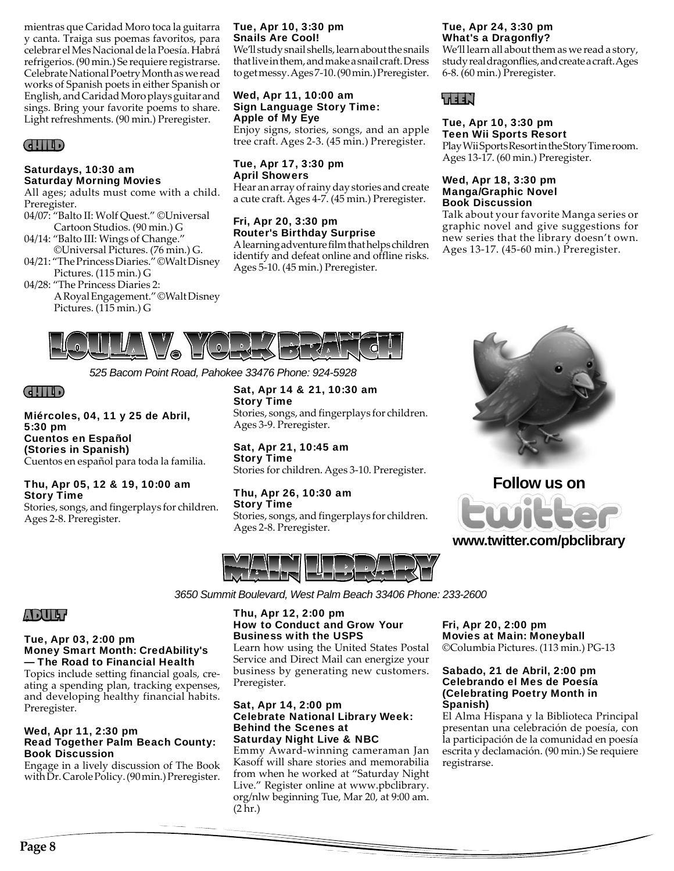mientras que Caridad Moro toca la guitarra y canta. Traiga sus poemas favoritos, para celebrar el Mes Nacional de la Poesía. Habrá refrigerios. (90 min.) Se requiere registrarse. Celebrate National Poetry Month as we read works of Spanish poets in either Spanish or English, and Caridad Moro plays guitar and sings. Bring your favorite poems to share. Light refreshments. (90 min.) Preregister.

## CHILD

## Saturdays, 10:30 am Saturday Morning Movies

All ages; adults must come with a child. Preregister.

- 04/07: "Balto II: Wolf Quest." ©Universal Cartoon Studios. (90 min.) G
- 04/14: "Balto III: Wings of Change." ©Universal Pictures. (76 min.) G.
- 04/21: "The Princess Diaries." ©Walt Disney Pictures. (115 min.) G
- 04/28: "The Princess Diaries 2: A Royal Engagement." ©Walt Disney Pictures. (115 min.) G

## Tue, Apr 10, 3:30 pm Snails Are Cool!

We'll study snail shells, learn about the snails that live in them, and make a snail craft. Dress to get messy. Ages 7-10. (90 min.) Preregister.

## Wed, Apr 11, 10:00 am Sign Language Story Time: Apple of My Eye

Enjoy signs, stories, songs, and an apple tree craft. Ages 2-3. (45 min.) Preregister.

## Tue, Apr 17, 3:30 pm April Showers

Hear an array of rainy day stories and create a cute craft. Ages 4-7. (45 min.) Preregister.

## Fri, Apr 20, 3:30 pm Router's Birthday Surprise

A learning adventure film that helps children identify and defeat online and offline risks. Ages 5-10. (45 min.) Preregister.

## Tue, Apr 24, 3:30 pm What's a Dragonfly?

We'll learn all about them as we read a story, study real dragonflies, and create a craft. Ages 6-8. (60 min.) Preregister.

## TEEN

#### Tue, Apr 10, 3:30 pm Teen Wii Sports Resort

Play Wii Sports Resort in the Story Time room. Ages 13-17. (60 min.) Preregister.

## Wed, Apr 18, 3:30 pm Manga/Graphic Novel Book Discussion

Talk about your favorite Manga series or graphic novel and give suggestions for new series that the library doesn't own. Ages 13-17. (45-60 min.) Preregister.



*525 Bacom Point Road, Pahokee 33476 Phone: 924-5928*

## CHILD

Miércoles, 04, 11 y 25 de Abril, 5:30 pm Cuentos en Español (Stories in Spanish) Cuentos en español para toda la familia.

## Thu, Apr 05, 12 & 19, 10:00 am Story Time

Stories, songs, and fingerplays for children. Ages 2-8. Preregister.

Sat, Apr 14 & 21, 10:30 am Story Time

Stories, songs, and fingerplays for children.

#### Sat, Apr 21, 10:45 am Story Time

Stories for children. Ages 3-10. Preregister.

## Thu, Apr 26, 10:30 am Story Time

Stories, songs, and fingerplays for children. Ages 2-8. Preregister.



# **Follow us on**

## **www.twitter.com/pbclibrary**

*3650 Summit Boulevard, West Palm Beach 33406 Phone: 233-2600*

## ADULT

## Tue, Apr 03, 2:00 pm Money Smart Month: CredAbility's — The Road to Financial Health

Topics include setting financial goals, creating a spending plan, tracking expenses, and developing healthy financial habits. Preregister.

#### Wed, Apr 11, 2:30 pm Read Together Palm Beach County: Book Discussion

Engage in a lively discussion of The Book with Dr. Carole Policy. (90 min.) Preregister.

## Thu, Apr 12, 2:00 pm How to Conduct and Grow Your Business with the USPS

Learn how using the United States Postal Service and Direct Mail can energize your business by generating new customers. Preregister.

## Sat, Apr 14, 2:00 pm Celebrate National Library Week: Behind the Scenes at Saturday Night Live & NBC

Emmy Award-winning cameraman Jan Kasoff will share stories and memorabilia from when he worked at "Saturday Night Live." Register online at www.pbclibrary. org/nlw beginning Tue, Mar 20, at 9:00 am. (2 hr.)

## Fri, Apr 20, 2:00 pm Movies at Main: Moneyball ©Columbia Pictures. (113 min.) PG-13

## Sabado, 21 de Abril, 2:00 pm Celebrando el Mes de Poesía (Celebrating Poetry Month in Spanish)

El Alma Hispana y la Biblioteca Principal presentan una celebración de poesía, con la participación de la comunidad en poesía escrita y declamación. (90 min.) Se requiere registrarse.

Ages 3-9. Preregister.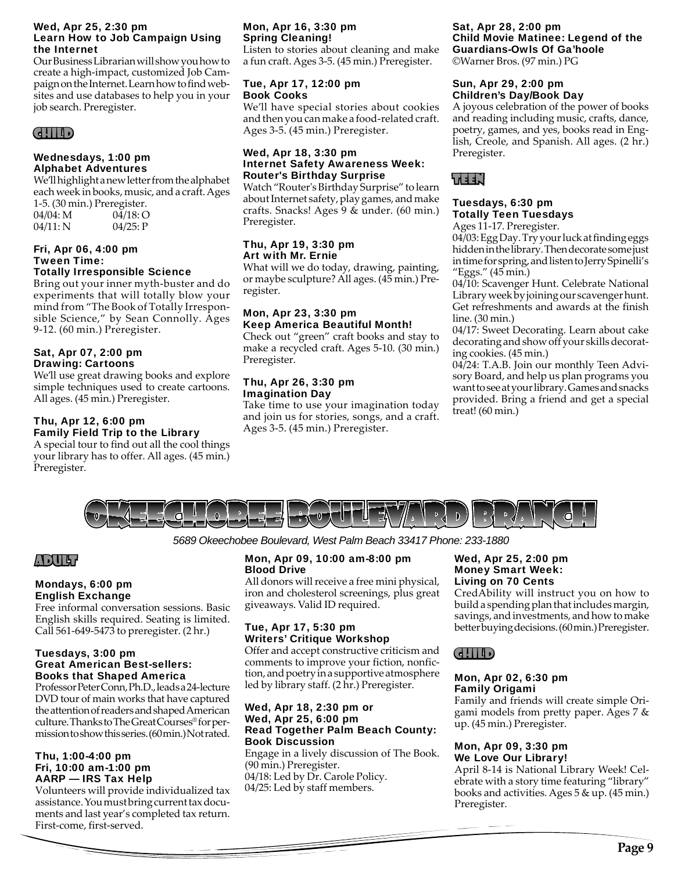#### Wed, Apr 25, 2:30 pm Learn How to Job Campaign Using the Internet

Our Business Librarian will show you how to create a high-impact, customized Job Campaign on the Internet. Learn how to find websites and use databases to help you in your job search. Preregister.

## CHILD

## Wednesdays, 1:00 pm Alphabet Adventures

We'll highlight a new letter from the alphabet each week in books, music, and a craft. Ages 1-5. (30 min.) Preregister. 04/04: M 04/18: O 04/11: N 04/25: P

## Fri, Apr 06, 4:00 pm Tween Time:

## Totally Irresponsible Science

Bring out your inner myth-buster and do experiments that will totally blow your mind from "The Book of Totally Irresponsible Science," by Sean Connolly. Ages 9-12. (60 min.) Preregister.

## Sat, Apr 07, 2:00 pm Drawing: Cartoons

We'll use great drawing books and explore simple techniques used to create cartoons. All ages. (45 min.) Preregister.

## Thu, Apr 12, 6:00 pm Family Field Trip to the Library

A special tour to find out all the cool things your library has to offer. All ages. (45 min.) Preregister.

## Mon, Apr 16, 3:30 pm Spring Cleaning!

Listen to stories about cleaning and make a fun craft. Ages 3-5. (45 min.) Preregister.

## Tue, Apr 17, 12:00 pm Book Cooks

We'll have special stories about cookies and then you can make a food-related craft. Ages 3-5. (45 min.) Preregister.

## Wed, Apr 18, 3:30 pm Internet Safety Awareness Week: Router's Birthday Surprise

Watch "Router's Birthday Surprise" to learn about Internet safety, play games, and make crafts. Snacks! Ages 9 & under. (60 min.) Preregister.

## Thu, Apr 19, 3:30 pm Art with Mr. Ernie

What will we do today, drawing, painting, or maybe sculpture? All ages. (45 min.) Preregister.

## Mon, Apr 23, 3:30 pm Keep America Beautiful Month!

Check out "green" craft books and stay to make a recycled craft. Ages 5-10. (30 min.) Preregister.

## Thu, Apr 26, 3:30 pm Imagination Day

Take time to use your imagination today and join us for stories, songs, and a craft. Ages 3-5. (45 min.) Preregister.

## Sat, Apr 28, 2:00 pm Child Movie Matinee: Legend of the Guardians-Owls Of Ga'hoole

©Warner Bros. (97 min.) PG

## Sun, Apr 29, 2:00 pm Children's Day/Book Day

A joyous celebration of the power of books and reading including music, crafts, dance, poetry, games, and yes, books read in English, Creole, and Spanish. All ages. (2 hr.) Preregister.

## TEEN

## Tuesdays, 6:30 pm Totally Teen Tuesdays

Ages 11-17. Preregister. 04/03: Egg Day. Try your luck at finding eggs

hidden in the library. Then decorate some just in time for spring, and listen to Jerry Spinelli's "Eggs." (45 min.)

04/10: Scavenger Hunt. Celebrate National Library week by joining our scavenger hunt. Get refreshments and awards at the finish line. (30 min.)

04/17: Sweet Decorating. Learn about cake decorating and show off your skills decorating cookies. (45 min.)

04/24: T.A.B. Join our monthly Teen Advisory Board, and help us plan programs you want to see at your library. Games and snacks provided. Bring a friend and get a special treat! (60 min.)



*5689 Okeechobee Boulevard, West Palm Beach 33417 Phone: 233-1880*

## ADULT

## Mondays, 6:00 pm English Exchange

Free informal conversation sessions. Basic English skills required. Seating is limited. Call 561-649-5473 to preregister. (2 hr.)

## Tuesdays, 3:00 pm Great American Best-sellers: Books that Shaped America

Professor Peter Conn, Ph.D., leads a 24-lecture DVD tour of main works that have captured the attention of readers and shaped American culture. Thanks to The Great Courses® for permission to show this series. (60 min.) Not rated.

## Thu, 1:00-4:00 pm Fri, 10:00 am-1:00 pm AARP — IRS Tax Help

Volunteers will provide individualized tax assistance. You must bring current tax documents and last year's completed tax return. First-come, first-served.

## Mon, Apr 09, 10:00 am-8:00 pm Blood Drive

All donors will receive a free mini physical, iron and cholesterol screenings, plus great giveaways. Valid ID required.

## Tue, Apr 17, 5:30 pm Writers' Critique Workshop

Offer and accept constructive criticism and comments to improve your fiction, nonfiction, and poetry in a supportive atmosphere led by library staff. (2 hr.) Preregister.

## Wed, Apr 18, 2:30 pm or Wed, Apr 25, 6:00 pm Read Together Palm Beach County: Book Discussion

Engage in a lively discussion of The Book. (90 min.) Preregister. 04/18: Led by Dr. Carole Policy. 04/25: Led by staff members.

## Wed, Apr 25, 2:00 pm Money Smart Week: Living on 70 Cents

CredAbility will instruct you on how to build a spending plan that includes margin, savings, and investments, and how to make better buying decisions. (60 min.) Preregister.

## CHILD

#### Mon, Apr 02, 6:30 pm Family Origami

Family and friends will create simple Origami models from pretty paper. Ages 7 & up. (45 min.) Preregister.

## Mon, Apr 09, 3:30 pm We Love Our Library!

April 8-14 is National Library Week! Celebrate with a story time featuring "library" books and activities. Ages 5 & up. (45 min.) Preregister.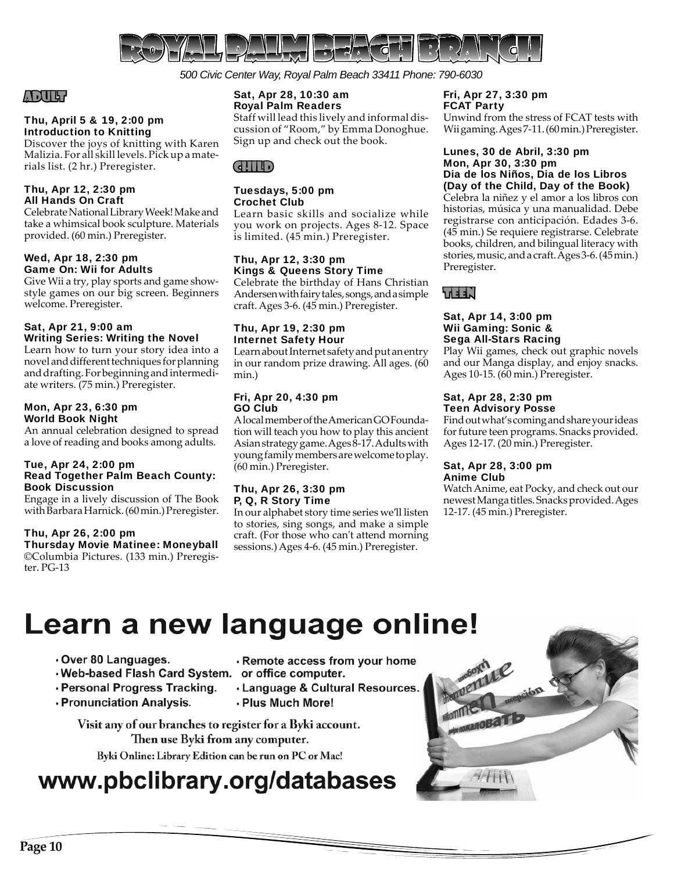

*500 Civic Center Way, Royal Palm Beach 33411 Phone: 790-6030*

## ADULT

## Thu, April 5 & 19, 2:00 pm Introduction to Knitting

Discover the joys of knitting with Karen Malizia. For all skill levels. Pick up a materials list. (2 hr.) Preregister.

## Thu, Apr 12, 2:30 pm All Hands On Craft

Celebrate National Library Week! Make and take a whimsical book sculpture. Materials provided. (60 min.) Preregister.

## Wed, Apr 18, 2:30 pm Game On: Wii for Adults

Give Wii a try, play sports and game showstyle games on our big screen. Beginners welcome. Preregister.

## Sat, Apr 21, 9:00 am Writing Series: Writing the Novel

Learn how to turn your story idea into a novel and different techniques for planning and drafting. For beginning and intermediate writers. (75 min.) Preregister.

## Mon, Apr 23, 6:30 pm World Book Night

An annual celebration designed to spread a love of reading and books among adults.

## Tue, Apr 24, 2:00 pm Read Together Palm Beach County: Book Discussion

Engage in a lively discussion of The Book with Barbara Harnick. (60 min.) Preregister.

## Thu, Apr 26, 2:00 pm

Thursday Movie Matinee: Moneyball ©Columbia Pictures. (133 min.) Preregister. PG-13

## Sat, Apr 28, 10:30 am Royal Palm Readers

Staff will lead this lively and informal discussion of "Room," by Emma Donoghue. Sign up and check out the book.

## CHILD

## Tuesdays, 5:00 pm Crochet Club

Learn basic skills and socialize while you work on projects. Ages 8-12. Space is limited. (45 min.) Preregister.

## Thu, Apr 12, 3:30 pm Kings & Queens Story Time

Celebrate the birthday of Hans Christian Andersen with fairy tales, songs, and a simple craft. Ages 3-6. (45 min.) Preregister.

## Thu, Apr 19, 2:30 pm Internet Safety Hour

Learn about Internet safety and put an entry in our random prize drawing. All ages. (60 min.)

## Fri, Apr 20, 4:30 pm GO Club

A local member of the American GO Foundation will teach you how to play this ancient Asian strategy game. Ages 8-17. Adults with young family members are welcome to play. (60 min.) Preregister.

## Thu, Apr 26, 3:30 pm P, Q, R Story Time

In our alphabet story time series we'll listen to stories, sing songs, and make a simple craft. (For those who can't attend morning sessions.) Ages 4-6. (45 min.) Preregister.

## Fri, Apr 27, 3:30 pm FCAT Party

Unwind from the stress of FCAT tests with Wii gaming. Ages 7-11. (60 min.) Preregister.

## Lunes, 30 de Abril, 3:30 pm Mon, Apr 30, 3:30 pm Dia de los Niños, Dia de los Libros (Day of the Child, Day of the Book)

Celebra la niñez y el amor a los libros con historias, música y una manualidad. Debe registrarse con anticipación. Edades 3-6. (45 min.) Se requiere registrarse. Celebrate books, children, and bilingual literacy with stories, music, and a craft. Ages 3-6. (45 min.) Preregister.



#### Sat, Apr 14, 3:00 pm Wii Gaming: Sonic & Sega All-Stars Racing

Play Wii games, check out graphic novels and our Manga display, and enjoy snacks. Ages 10-15. (60 min.) Preregister.

## Sat, Apr 28, 2:30 pm Teen Advisory Posse

Find out what's coming and share your ideas for future teen programs. Snacks provided. Ages 12-17. (20 min.) Preregister.

## Sat, Apr 28, 3:00 pm Anime Club

Watch Anime, eat Pocky, and check out our newest Manga titles. Snacks provided. Ages 12-17. (45 min.) Preregister.

# Learn a new language online!

- Over 80 Languages.
- . Web-based Flash Card System. or office computer.
- · Personal Progress Tracking.
- . Pronunciation Analysis.
- . Remote access from your home
- 
- · Language & Cultural Resources. . Plus Much More!

Visit any of our branches to register for a Byki account. Then use Byki from any computer.

Byki Online: Library Edition can be run on PC or Mac!

# www.pbclibrary.org/databases

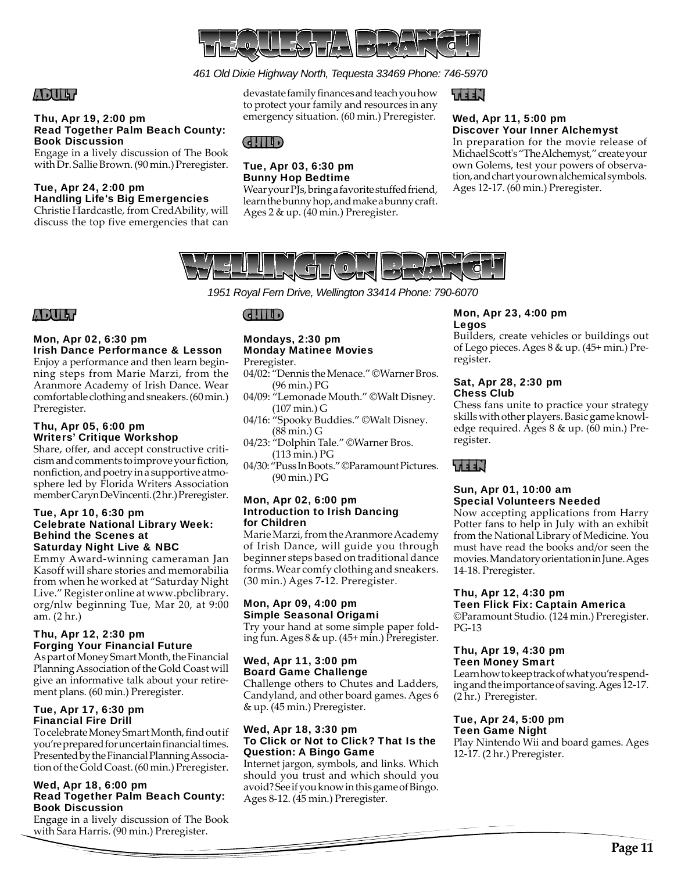

## *461 Old Dixie Highway North, Tequesta 33469 Phone: 746-5970*

## ADULT

## Thu, Apr 19, 2:00 pm Read Together Palm Beach County: Book Discussion

Engage in a lively discussion of The Book with Dr. Sallie Brown. (90 min.) Preregister.

#### Tue, Apr 24, 2:00 pm Handling Life's Big Emergencies

Christie Hardcastle, from CredAbility, will discuss the top five emergencies that can devastate family finances and teach you how to protect your family and resources in any emergency situation. (60 min.) Preregister.

Wear your PJs, bring a favorite stuffed friend, learn the bunny hop, and make a bunny craft.

Ages 2 & up. (40 min.) Preregister.

## TEEN

## Wed, Apr 11, 5:00 pm Discover Your Inner Alchemyst

In preparation for the movie release of Michael Scott's "The Alchemyst," create your own Golems, test your powers of observation, and chart your own alchemical symbols. Ages 12-17. (60 min.) Preregister.



*1951 Royal Fern Drive, Wellington 33414 Phone: 790-6070*

## ADULT

#### Mon, Apr 02, 6:30 pm Irish Dance Performance & Lesson

Enjoy a performance and then learn beginning steps from Marie Marzi, from the Aranmore Academy of Irish Dance. Wear comfortable clothing and sneakers. (60 min.) Preregister.

## Thu, Apr 05, 6:00 pm Writers' Critique Workshop

Share, offer, and accept constructive criticism and comments to improve your fiction, nonfiction, and poetry in a supportive atmosphere led by Florida Writers Association member Caryn DeVincenti. (2 hr.) Preregister.

#### Tue, Apr 10, 6:30 pm Celebrate National Library Week: Behind the Scenes at Saturday Night Live & NBC

Emmy Award-winning cameraman Jan Kasoff will share stories and memorabilia from when he worked at "Saturday Night Live." Register online at www.pbclibrary. org/nlw beginning Tue, Mar 20, at 9:00 am. (2 hr.)

## Thu, Apr 12, 2:30 pm Forging Your Financial Future

As part of Money Smart Month, the Financial Planning Association of the Gold Coast will give an informative talk about your retirement plans. (60 min.) Preregister.

## Tue, Apr 17, 6:30 pm Financial Fire Drill

To celebrate Money Smart Month, find out if you're prepared for uncertain financial times. Presented by the Financial Planning Association of the Gold Coast. (60 min.) Preregister.

## Wed, Apr 18, 6:00 pm Read Together Palm Beach County: Book Discussion

Engage in a lively discussion of The Book with Sara Harris. (90 min.) Preregister.

## CHILD

CHILD

Tue, Apr 03, 6:30 pm Bunny Hop Bedtime

## Mondays, 2:30 pm Monday Matinee Movies

Preregister.

- 04/02: "Dennis the Menace." ©Warner Bros. (96 min.) PG
- 04/09: "Lemonade Mouth." ©Walt Disney. (107 min.) G
- 04/16: "Spooky Buddies." ©Walt Disney. (88 min.) G
- 04/23: "Dolphin Tale." ©Warner Bros. (113 min.) PG
- 04/30: "Puss In Boots." ©Paramount Pictures. (90 min.) PG

#### Mon, Apr 02, 6:00 pm Introduction to Irish Dancing for Children

Marie Marzi, from the Aranmore Academy of Irish Dance, will guide you through beginner steps based on traditional dance forms. Wear comfy clothing and sneakers. (30 min.) Ages 7-12. Preregister.

## Mon, Apr 09, 4:00 pm Simple Seasonal Origami

Try your hand at some simple paper folding fun. Ages 8 & up. (45+ min.) Preregister.

## Wed, Apr 11, 3:00 pm Board Game Challenge

Challenge others to Chutes and Ladders, Candyland, and other board games. Ages 6 & up. (45 min.) Preregister.

## Wed, Apr 18, 3:30 pm To Click or Not to Click? That Is the Question: A Bingo Game

Internet jargon, symbols, and links. Which should you trust and which should you avoid? See if you know in this game of Bingo. Ages 8-12. (45 min.) Preregister.

## Mon, Apr 23, 4:00 pm Legos

Builders, create vehicles or buildings out of Lego pieces. Ages 8 & up. (45+ min.) Preregister.

## Sat, Apr 28, 2:30 pm Chess Club

Chess fans unite to practice your strategy skills with other players. Basic game knowledge required. Ages 8 & up. (60 min.) Preregister.

TEEN

## Sun, Apr 01, 10:00 am Special Volunteers Needed

Now accepting applications from Harry Potter fans to help in July with an exhibit from the National Library of Medicine. You must have read the books and/or seen the movies. Mandatory orientation in June. Ages 14-18. Preregister.

#### Thu, Apr 12, 4:30 pm Teen Flick Fix: Captain America

©Paramount Studio. (124 min.) Preregister. PG-13

#### Thu, Apr 19, 4:30 pm Teen Money Smart

Learn how to keep track of what you're spending and the importance of saving. Ages 12-17. (2 hr.) Preregister.

#### Tue, Apr 24, 5:00 pm Teen Game Night

Play Nintendo Wii and board games. Ages 12-17. (2 hr.) Preregister.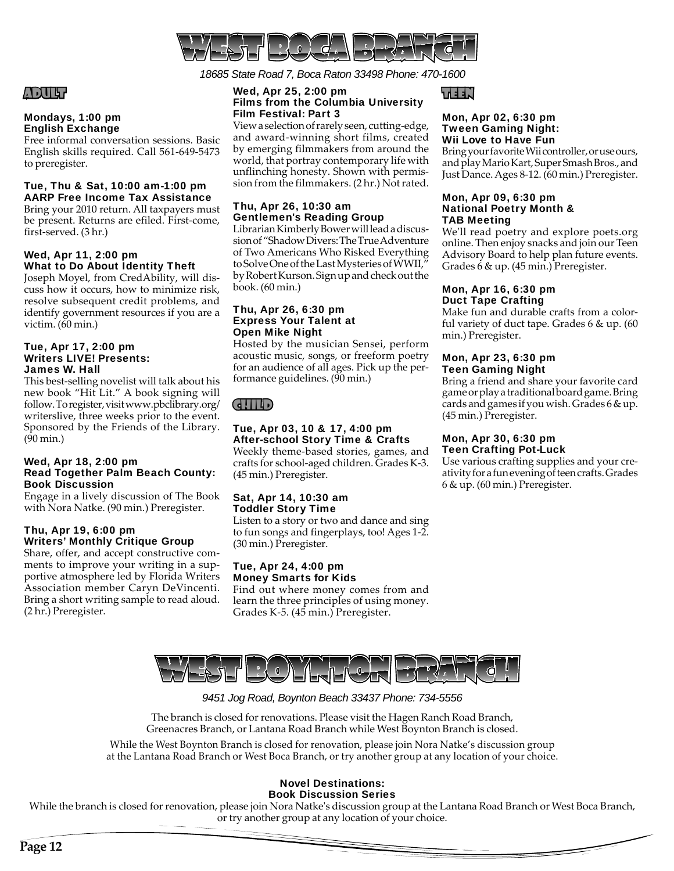

*18685 State Road 7, Boca Raton 33498 Phone: 470-1600*

## Wed, Apr 25, 2:00 pm Films from the Columbia University Film Festival: Part 3

View a selection of rarely seen, cutting-edge, and award-winning short films, created by emerging filmmakers from around the world, that portray contemporary life with unflinching honesty. Shown with permission from the filmmakers. (2 hr.) Not rated.

## Thu, Apr 26, 10:30 am Gentlemen's Reading Group

Librarian Kimberly Bower will lead a discussion of "Shadow Divers: The True Adventure of Two Americans Who Risked Everything to Solve One of the Last Mysteries of WWII," by Robert Kurson. Sign up and check out the book. (60 min.)

#### Thu, Apr 26, 6:30 pm Express Your Talent at Open Mike Night

Hosted by the musician Sensei, perform acoustic music, songs, or freeform poetry for an audience of all ages. Pick up the performance guidelines. (90 min.)

## CHILD

## Tue, Apr 03, 10 & 17, 4:00 pm After-school Story Time & Crafts

Weekly theme-based stories, games, and crafts for school-aged children. Grades K-3. (45 min.) Preregister.

## Sat, Apr 14, 10:30 am Toddler Story Time

Listen to a story or two and dance and sing to fun songs and fingerplays, too! Ages 1-2. (30 min.) Preregister.

## Tue, Apr 24, 4:00 pm Money Smarts for Kids

Find out where money comes from and learn the three principles of using money. Grades K-5. (45 min.) Preregister.

## TEEN

## Mon, Apr 02, 6:30 pm Tween Gaming Night: Wii Love to Have Fun

Bring your favorite Wii controller, or use ours, and play Mario Kart, Super Smash Bros., and Just Dance. Ages 8-12. (60 min.) Preregister.

#### Mon, Apr 09, 6:30 pm National Poetry Month & TAB Meeting

We'll read poetry and explore poets.org online. Then enjoy snacks and join our Teen Advisory Board to help plan future events. Grades 6 & up. (45 min.) Preregister.

## Mon, Apr 16, 6:30 pm Duct Tape Crafting

Make fun and durable crafts from a colorful variety of duct tape. Grades 6 & up. (60 min.) Preregister.

## Mon, Apr 23, 6:30 pm Teen Gaming Night

Bring a friend and share your favorite card game or play a traditional board game. Bring cards and games if you wish. Grades 6 & up. (45 min.) Preregister.

## Mon, Apr 30, 6:30 pm Teen Crafting Pot-Luck

Use various crafting supplies and your creativity for a fun evening of teen crafts. Grades 6 & up. (60 min.) Preregister.

Writers' Monthly Critique Group Share, offer, and accept constructive comments to improve your writing in a supportive atmosphere led by Florida Writers Association member Caryn DeVincenti. Bring a short writing sample to read aloud. (2 hr.) Preregister.



## *9451 Jog Road, Boynton Beach 33437 Phone: 734-5556*

The branch is closed for renovations. Please visit the Hagen Ranch Road Branch, Greenacres Branch, or Lantana Road Branch while West Boynton Branch is closed.

While the West Boynton Branch is closed for renovation, please join Nora Natke's discussion group at the Lantana Road Branch or West Boca Branch, or try another group at any location of your choice.

#### Novel Destinations: Book Discussion Series

While the branch is closed for renovation, please join Nora Natke's discussion group at the Lantana Road Branch or West Boca Branch, or try another group at any location of your choice.

ADULT

to preregister.

first-served. (3 hr.)

victim. (60 min.)

James W. Hall

(90 min.)

Wed, Apr 11, 2:00 pm

Tue, Apr 17, 2:00 pm Writers LIVE! Presents:

Wed, Apr 18, 2:00 pm

Thu, Apr 19, 6:00 pm

Book Discussion

Mondays, 1:00 pm English Exchange

Free informal conversation sessions. Basic English skills required. Call 561-649-5473

Tue, Thu & Sat, 10:00 am-1:00 pm AARP Free Income Tax Assistance Bring your 2010 return. All taxpayers must be present. Returns are efiled. First-come,

What to Do About Identity Theft Joseph Moyel, from CredAbility, will discuss how it occurs, how to minimize risk, resolve subsequent credit problems, and identify government resources if you are a

This best-selling novelist will talk about his new book "Hit Lit." A book signing will follow. To register, visit www.pbclibrary.org/ writerslive, three weeks prior to the event. Sponsored by the Friends of the Library.

Read Together Palm Beach County:

Engage in a lively discussion of The Book with Nora Natke. (90 min.) Preregister.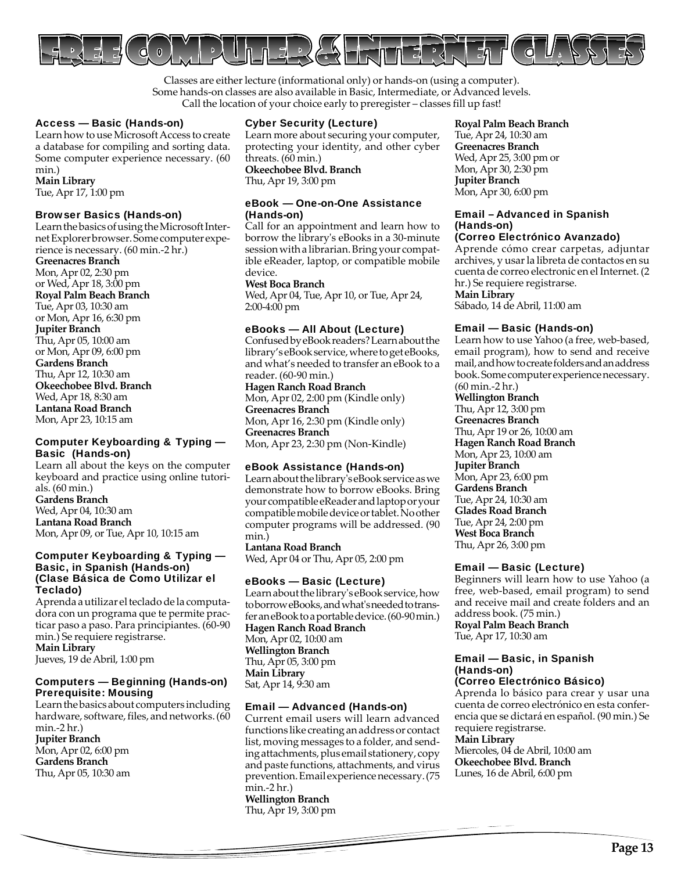

Classes are either lecture (informational only) or hands-on (using a computer). Some hands-on classes are also available in Basic, Intermediate, or Advanced levels. Call the location of your choice early to preregister – classes fill up fast!

## Access — Basic (Hands-on)

Learn how to use Microsoft Access to create a database for compiling and sorting data. Some computer experience necessary. (60 min.) **Main Library**

Tue, Apr 17, 1:00 pm

#### Browser Basics (Hands-on)

Learn the basics of using the Microsoft Internet Explorer browser. Some computer experience is necessary. (60 min.-2 hr.)

**Greenacres Branch**

Mon, Apr 02, 2:30 pm or Wed, Apr 18, 3:00 pm **Royal Palm Beach Branch** Tue, Apr 03, 10:30 am or Mon, Apr 16, 6:30 pm **Jupiter Branch** Thu, Apr 05, 10:00 am or Mon, Apr 09, 6:00 pm **Gardens Branch** Thu, Apr 12, 10:30 am **Okeechobee Blvd. Branch** Wed, Apr 18, 8:30 am **Lantana Road Branch** Mon, Apr 23, 10:15 am

## Computer Keyboarding & Typing — Basic (Hands-on)

Learn all about the keys on the computer keyboard and practice using online tutorials. (60 min.) **Gardens Branch** Wed, Apr 04, 10:30 am **Lantana Road Branch** Mon, Apr 09, or Tue, Apr 10, 10:15 am

## Computer Keyboarding & Typing — Basic, in Spanish (Hands-on) (Clase Básica de Como Utilizar el Teclado)

Aprenda a utilizar el teclado de la computadora con un programa que te permite practicar paso a paso. Para principiantes. (60-90 min.) Se requiere registrarse. **Main Library** Jueves, 19 de Abril, 1:00 pm

## Computers — Beginning (Hands-on) Prerequisite: Mousing

Learn the basics about computers including hardware, software, files, and networks. (60 min.-2 hr.) **Jupiter Branch** Mon, Apr 02, 6:00 pm **Gardens Branch** Thu, Apr 05, 10:30 am

## Cyber Security (Lecture)

Learn more about securing your computer, protecting your identity, and other cyber threats. (60 min.)

**Okeechobee Blvd. Branch** Thu, Apr 19, 3:00 pm

#### eBook — One-on-One Assistance (Hands-on)

Call for an appointment and learn how to borrow the library's eBooks in a 30-minute session with a librarian. Bring your compatible eReader, laptop, or compatible mobile device.

#### **West Boca Branch**

Wed, Apr 04, Tue, Apr 10, or Tue, Apr 24, 2:00-4:00 pm

#### eBooks — All About (Lecture)

Confused by eBook readers? Learn about the library's eBook service, where to get eBooks, and what's needed to transfer an eBook to a reader. (60-90 min.)

**Hagen Ranch Road Branch** Mon, Apr 02, 2:00 pm (Kindle only) **Greenacres Branch** Mon, Apr 16, 2:30 pm (Kindle only) **Greenacres Branch** Mon, Apr 23, 2:30 pm (Non-Kindle)

## eBook Assistance (Hands-on)

Learn about the library's eBook service as we demonstrate how to borrow eBooks. Bring your compatible eReader and laptop or your compatible mobile device or tablet. No other computer programs will be addressed. (90 min.)

**Lantana Road Branch** Wed, Apr 04 or Thu, Apr 05, 2:00 pm

## eBooks — Basic (Lecture)

Learn about the library's eBook service, how to borrow eBooks, and what's needed to transfer an eBook to a portable device. (60-90 min.) **Hagen Ranch Road Branch** Mon, Apr 02, 10:00 am **Wellington Branch** Thu, Apr 05, 3:00 pm **Main Library** Sat, Apr 14, 9:30 am

## Email — Advanced (Hands-on)

Current email users will learn advanced functions like creating an address or contact list, moving messages to a folder, and sending attachments, plus email stationery, copy and paste functions, attachments, and virus prevention. Email experience necessary. (75 min.-2 hr.) **Wellington Branch** Thu, Apr 19, 3:00 pm

#### **Royal Palm Beach Branch**

Tue, Apr 24, 10:30 am **Greenacres Branch** Wed, Apr 25, 3:00 pm or Mon, Apr 30, 2:30 pm **Jupiter Branch** Mon, Apr 30, 6:00 pm

## Email – Advanced in Spanish (Hands-on)

## (Correo Electrónico Avanzado)

Aprende cómo crear carpetas, adjuntar archives, y usar la libreta de contactos en su cuenta de correo electronic en el Internet. (2 hr.) Se requiere registrarse.

**Main Library**

Sábado, 14 de Abril, 11:00 am

## Email — Basic (Hands-on)

Learn how to use Yahoo (a free, web-based, email program), how to send and receive mail, and how to create folders and an address book. Some computer experience necessary. (60 min.-2 hr.)

## **Wellington Branch**

Thu, Apr 12, 3:00 pm **Greenacres Branch** Thu, Apr 19 or 26, 10:00 am **Hagen Ranch Road Branch** Mon, Apr 23, 10:00 am **Jupiter Branch** Mon, Apr 23, 6:00 pm **Gardens Branch** Tue, Apr 24, 10:30 am **Glades Road Branch** Tue, Apr 24, 2:00 pm **West Boca Branch** Thu, Apr 26, 3:00 pm

## Email — Basic (Lecture)

Beginners will learn how to use Yahoo (a free, web-based, email program) to send and receive mail and create folders and an address book. (75 min.)

**Royal Palm Beach Branch** Tue, Apr 17, 10:30 am

## Email — Basic, in Spanish (Hands-on)

## (Correo Electrónico Básico)

Aprenda lo básico para crear y usar una cuenta de correo electrónico en esta conferencia que se dictará en español. (90 min.) Se requiere registrarse.

## **Main Library**

Miercoles, 04 de Abril, 10:00 am **Okeechobee Blvd. Branch** Lunes, 16 de Abril, 6:00 pm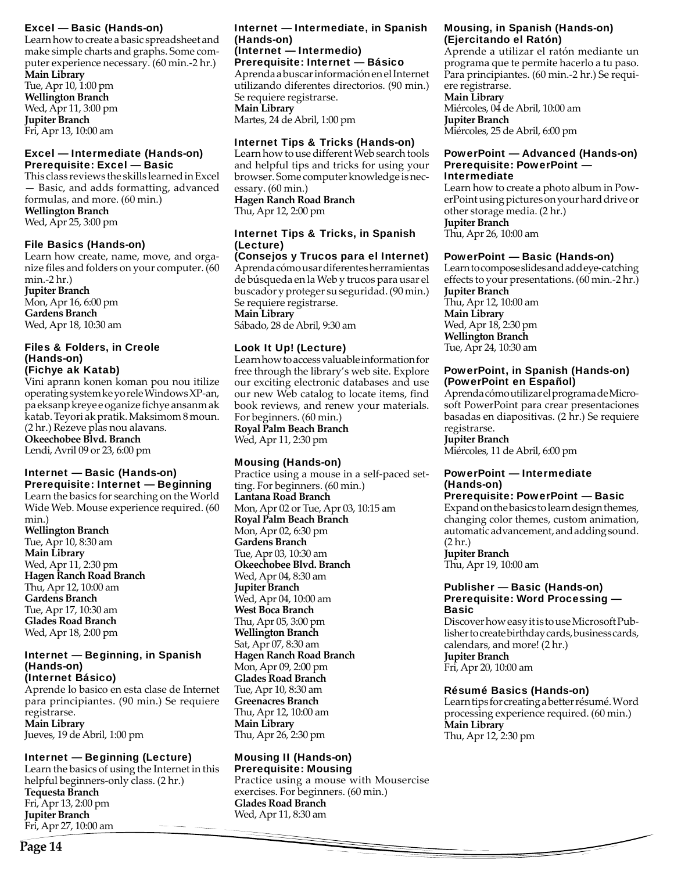## Excel — Basic (Hands-on)

Learn how to create a basic spreadsheet and make simple charts and graphs. Some computer experience necessary. (60 min.-2 hr.) **Main Library**

Tue, Apr 10, 1:00 pm **Wellington Branch**  Wed, Apr 11, 3:00 pm **Jupiter Branch** Fri, Apr 13, 10:00 am

## Excel — Intermediate (Hands-on) Prerequisite: Excel — Basic

This class reviews the skills learned in Excel — Basic, and adds formatting, advanced formulas, and more. (60 min.) **Wellington Branch** Wed, Apr 25, 3:00 pm

## File Basics (Hands-on)

Learn how create, name, move, and organize files and folders on your computer. (60 min.-2 hr.) **Jupiter Branch** Mon, Apr 16, 6:00 pm **Gardens Branch** Wed, Apr 18, 10:30 am

#### Files & Folders, in Creole (Hands-on) (Fichye ak Katab)

Vini aprann konen koman pou nou itilize operating system ke yo rele Windows XP-an,

pa eksanp kreye e oganize fichye ansanm ak katab. Teyori ak pratik. Maksimom 8 moun. (2 hr.) Rezeve plas nou alavans. **Okeechobee Blvd. Branch**  Lendi, Avril 09 or 23, 6:00 pm

## Internet — Basic (Hands-on) Prerequisite: Internet — Beginning

Learn the basics for searching on the World Wide Web. Mouse experience required. (60 min.) **Wellington Branch** Tue, Apr 10, 8:30 am **Main Library** Wed, Apr 11, 2:30 pm

**Hagen Ranch Road Branch** Thu, Apr 12, 10:00 am **Gardens Branch** Tue, Apr 17, 10:30 am **Glades Road Branch** Wed, Apr 18, 2:00 pm

#### Internet — Beginning, in Spanish (Hands-on) (Internet Básico)

Aprende lo basico en esta clase de Internet para principiantes. (90 min.) Se requiere registrarse. **Main Library** Jueves, 19 de Abril, 1:00 pm

## Internet — Beginning (Lecture)

Learn the basics of using the Internet in this helpful beginners-only class. (2 hr.) **Tequesta Branch** Fri, Apr 13, 2:00 pm **Jupiter Branch** Fri, Apr 27, 10:00 am

#### Internet — Intermediate, in Spanish (Hands-on) (Internet — Intermedio)

Prerequisite: Internet — Básico

Aprenda a buscar información en el Internet utilizando diferentes directorios. (90 min.) Se requiere registrarse. **Main Library** Martes, 24 de Abril, 1:00 pm

## Internet Tips & Tricks (Hands-on)

Learn how to use different Web search tools and helpful tips and tricks for using your browser. Some computer knowledge is necessary. (60 min.) **Hagen Ranch Road Branch** Thu, Apr 12, 2:00 pm

## Internet Tips & Tricks, in Spanish (Lecture)

(Consejos y Trucos para el Internet) Aprenda cómo usar diferentes herramientas de búsqueda en la Web y trucos para usar el buscador y proteger su seguridad. (90 min.) Se requiere registrarse. **Main Library**

Sábado, 28 de Abril, 9:30 am

## Look It Up! (Lecture)

Learn how to access valuable information for free through the library's web site. Explore our exciting electronic databases and use our new Web catalog to locate items, find book reviews, and renew your materials. For beginners. (60 min.)

**Royal Palm Beach Branch** Wed, Apr 11, 2:30 pm

## Mousing (Hands-on)

Practice using a mouse in a self-paced setting. For beginners. (60 min.) **Lantana Road Branch** Mon, Apr 02 or Tue, Apr 03, 10:15 am **Royal Palm Beach Branch** Mon, Apr 02, 6:30 pm **Gardens Branch** Tue, Apr 03, 10:30 am **Okeechobee Blvd. Branch** Wed, Apr 04, 8:30 am **Jupiter Branch** Wed, Apr 04, 10:00 am **West Boca Branch** Thu, Apr 05, 3:00 pm **Wellington Branch** Sat, Apr 07, 8:30 am **Hagen Ranch Road Branch** Mon, Apr 09, 2:00 pm **Glades Road Branch** Tue, Apr 10, 8:30 am **Greenacres Branch** Thu, Apr 12, 10:00 am **Main Library** Thu, Apr 26, 2:30 pm

#### Mousing II (Hands-on) Prerequisite: Mousing

Practice using a mouse with Mousercise exercises. For beginners. (60 min.) **Glades Road Branch** Wed, Apr 11, 8:30 am

## Mousing, in Spanish (Hands-on) (Ejercitando el Ratón)

Aprende a utilizar el ratón mediante un programa que te permite hacerlo a tu paso. Para principiantes. (60 min.-2 hr.) Se requiere registrarse.

#### **Main Library**

Miércoles, 04 de Abril, 10:00 am **Jupiter Branch** Miércoles, 25 de Abril, 6:00 pm

## PowerPoint — Advanced (Hands-on) Prerequisite: PowerPoint — Intermediate

Learn how to create a photo album in PowerPoint using pictures on your hard drive or other storage media. (2 hr.) **Jupiter Branch**

Thu, Apr 26, 10:00 am

## PowerPoint — Basic (Hands-on)

Learn to compose slides and add eye-catching effects to your presentations. (60 min.-2 hr.) **Jupiter Branch** Thu, Apr 12, 10:00 am **Main Library** Wed, Apr 18, 2:30 pm **Wellington Branch** Tue, Apr 24, 10:30 am

## PowerPoint, in Spanish (Hands-on) (PowerPoint en Español)

Aprenda cómo utilizar el programa de Microsoft PowerPoint para crear presentaciones basadas en diapositivas. (2 hr.) Se requiere registrarse.

**Jupiter Branch** Miércoles, 11 de Abril, 6:00 pm

## PowerPoint — Intermediate (Hands-on)

## Prerequisite: PowerPoint — Basic

Expand on the basics to learn design themes, changing color themes, custom animation, automatic advancement, and adding sound. (2 hr.)

**Jupiter Branch** Thu, Apr 19, 10:00 am

#### Publisher — Basic (Hands-on) Prerequisite: Word Processing — Basic

Discover how easy it is to use Microsoft Publisher to create birthday cards, business cards, calendars, and more! (2 hr.) **Jupiter Branch**

Fri, Apr 20, 10:00 am

## Résumé Basics (Hands-on)

Learn tips for creating a better résumé. Word processing experience required. (60 min.) **Main Library** Thu, Apr 12, 2:30 pm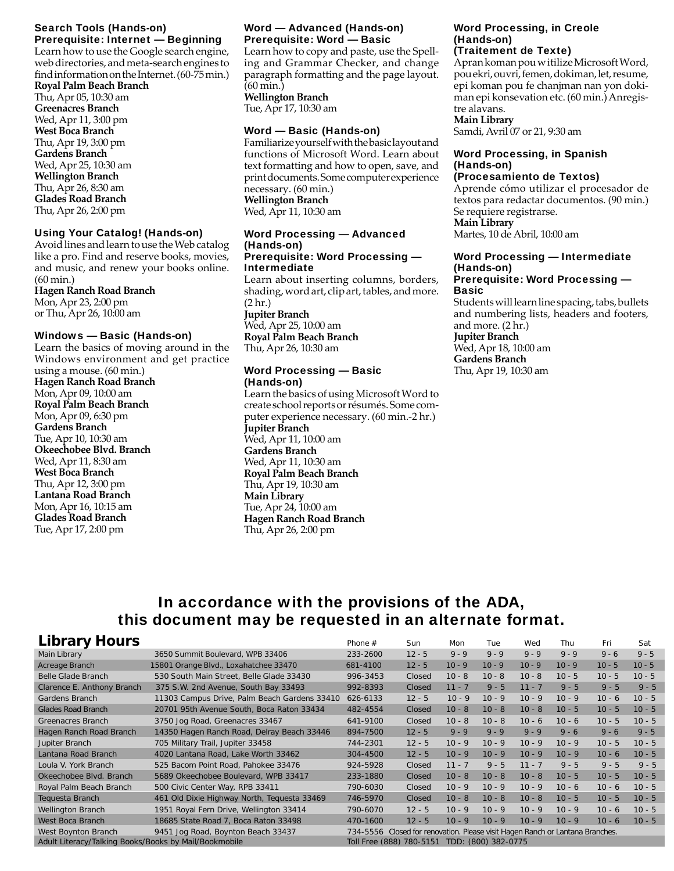## Search Tools (Hands-on) Prerequisite: Internet — Beginning

Learn how to use the Google search engine, web directories, and meta-search engines to find information on the Internet. (60-75 min.)

**Royal Palm Beach Branch** Thu, Apr 05, 10:30 am **Greenacres Branch** Wed, Apr 11, 3:00 pm **West Boca Branch** Thu, Apr 19, 3:00 pm **Gardens Branch** Wed, Apr 25, 10:30 am **Wellington Branch** Thu, Apr 26, 8:30 am **Glades Road Branch** Thu, Apr 26, 2:00 pm

## Using Your Catalog! (Hands-on)

Avoid lines and learn to use the Web catalog like a pro. Find and reserve books, movies, and music, and renew your books online. (60 min.) **Hagen Ranch Road Branch** Mon, Apr 23, 2:00 pm

or Thu, Apr 26, 10:00 am

## Windows — Basic (Hands-on)

Learn the basics of moving around in the Windows environment and get practice using a mouse. (60 min.) **Hagen Ranch Road Branch** Mon, Apr 09, 10:00 am **Royal Palm Beach Branch** Mon, Apr 09, 6:30 pm **Gardens Branch** Tue, Apr 10, 10:30 am **Okeechobee Blvd. Branch** Wed, Apr 11, 8:30 am **West Boca Branch** Thu, Apr 12, 3:00 pm **Lantana Road Branch** Mon, Apr 16, 10:15 am **Glades Road Branch** Tue, Apr 17, 2:00 pm

## Word — Advanced (Hands-on) Prerequisite: Word — Basic

Learn how to copy and paste, use the Spelling and Grammar Checker, and change paragraph formatting and the page layout. (60 min.) **Wellington Branch**

Tue, Apr 17, 10:30 am

## Word — Basic (Hands-on)

Familiarize yourself with the basic layout and functions of Microsoft Word. Learn about text formatting and how to open, save, and print documents. Some computer experience necessary. (60 min.) **Wellington Branch** Wed, Apr 11, 10:30 am

#### Word Processing — Advanced (Hands-on) Prerequisite: Word Processing — Intermediate

Learn about inserting columns, borders, shading, word art, clip art, tables, and more. (2 hr.) **Jupiter Branch** Wed, Apr 25, 10:00 am **Royal Palm Beach Branch** Thu, Apr 26, 10:30 am

## Word Processing — Basic (Hands-on)

Learn the basics of using Microsoft Word to create school reports or résumés. Some computer experience necessary. (60 min.-2 hr.) **Jupiter Branch** Wed, Apr 11, 10:00 am **Gardens Branch** Wed, Apr 11, 10:30 am **Royal Palm Beach Branch** Thu, Apr 19, 10:30 am **Main Library** Tue, Apr 24, 10:00 am **Hagen Ranch Road Branch** Thu, Apr 26, 2:00 pm

## Word Processing, in Creole (Hands-on)

## (Traitement de Texte)

Apran koman pou w itilize Microsoft Word, pou ekri, ouvri, femen, dokiman, let, resume, epi koman pou fe chanjman nan yon dokiman epi konsevation etc. (60 min.) Anregistre alavans.

## **Main Library**

Samdi, Avril 07 or 21, 9:30 am

## Word Processing, in Spanish (Hands-on)

## (Procesamiento de Textos)

Aprende cómo utilizar el procesador de textos para redactar documentos. (90 min.) Se requiere registrarse.

**Main Library** Martes, 10 de Abril, 10:00 am

#### Word Processing — Intermediate (Hands-on) Prerequisite: Word Processing —

# Basic

Students will learn line spacing, tabs, bullets and numbering lists, headers and footers, and more. (2 hr.) **Jupiter Branch** Wed, Apr 18, 10:00 am **Gardens Branch** Thu, Apr 19, 10:30 am

## In accordance with the provisions of the ADA, this document may be requested in an alternate format.

| <b>Library Hours</b>                                                                                                                          |                                              | Phone #  | Sun                                             | Mon      | Tue      | Wed      | Thu      | Fri      | Sat      |
|-----------------------------------------------------------------------------------------------------------------------------------------------|----------------------------------------------|----------|-------------------------------------------------|----------|----------|----------|----------|----------|----------|
| Main Library                                                                                                                                  | 3650 Summit Boulevard, WPB 33406             | 233-2600 | $12 - 5$                                        | $9 - 9$  | $9 - 9$  | $9 - 9$  | $9 - 9$  | $9 - 6$  | $9 - 5$  |
| Acreage Branch                                                                                                                                | 15801 Orange Blvd., Loxahatchee 33470        | 681-4100 | $12 - 5$                                        | $10 - 9$ | $10 - 9$ | $10 - 9$ | $10 - 9$ | $10 - 5$ | $10 - 5$ |
| Belle Glade Branch                                                                                                                            | 530 South Main Street, Belle Glade 33430     | 996-3453 | Closed                                          | $10 - 8$ | $10 - 8$ | $10 - 8$ | $10 - 5$ | $10 - 5$ | $10 - 5$ |
| Clarence E. Anthony Branch                                                                                                                    | 375 S.W. 2nd Avenue, South Bay 33493         | 992-8393 | Closed                                          | $11 - 7$ | $9 - 5$  | $11 - 7$ | $9 - 5$  | $9 - 5$  | $9 - 5$  |
| Gardens Branch                                                                                                                                | 11303 Campus Drive, Palm Beach Gardens 33410 | 626-6133 | $12 - 5$                                        | $10 - 9$ | $10 - 9$ | $10 - 9$ | $10 - 9$ | $10 - 6$ | $10 - 5$ |
| <b>Glades Road Branch</b>                                                                                                                     | 20701 95th Avenue South, Boca Raton 33434    | 482-4554 | Closed                                          | $10 - 8$ | $10 - 8$ | $10 - 8$ | $10 - 5$ | $10 - 5$ | $10 - 5$ |
| Greenacres Branch                                                                                                                             | 3750 Jog Road, Greenacres 33467              | 641-9100 | Closed                                          | $10 - 8$ | $10 - 8$ | $10 - 6$ | $10 - 6$ | $10 - 5$ | $10 - 5$ |
| Hagen Ranch Road Branch                                                                                                                       | 14350 Hagen Ranch Road, Delray Beach 33446   | 894-7500 | $12 - 5$                                        | $9 - 9$  | $9 - 9$  | $9 - 9$  | $9 - 6$  | $9 - 6$  | $9 - 5$  |
| Jupiter Branch                                                                                                                                | 705 Military Trail, Jupiter 33458            | 744-2301 | $12 - 5$                                        | $10 - 9$ | $10 - 9$ | $10 - 9$ | $10 - 9$ | $10 - 5$ | $10 - 5$ |
| Lantana Road Branch                                                                                                                           | 4020 Lantana Road, Lake Worth 33462          | 304-4500 | $12 - 5$                                        | $10 - 9$ | $10 - 9$ | $10 - 9$ | $10 - 9$ | $10 - 6$ | $10 - 5$ |
| Loula V. York Branch                                                                                                                          | 525 Bacom Point Road, Pahokee 33476          | 924-5928 | Closed                                          | $11 - 7$ | $9 - 5$  | $11 - 7$ | $9 - 5$  | $9 - 5$  | $9 - 5$  |
| Okeechobee Blvd. Branch                                                                                                                       | 5689 Okeechobee Boulevard, WPB 33417         | 233-1880 | Closed                                          | $10 - 8$ | $10 - 8$ | $10 - 8$ | $10 - 5$ | $10 - 5$ | $10 - 5$ |
| Royal Palm Beach Branch                                                                                                                       | 500 Civic Center Way, RPB 33411              | 790-6030 | Closed                                          | $10 - 9$ | $10 - 9$ | $10 - 9$ | $10 - 6$ | $10 - 6$ | $10 - 5$ |
| Tequesta Branch                                                                                                                               | 461 Old Dixie Highway North, Tequesta 33469  | 746-5970 | Closed                                          | $10 - 8$ | $10 - 8$ | $10 - 8$ | $10 - 5$ | $10 - 5$ | $10 - 5$ |
| <b>Wellington Branch</b>                                                                                                                      | 1951 Royal Fern Drive, Wellington 33414      | 790-6070 | $12 - 5$                                        | $10 - 9$ | $10 - 9$ | $10 - 9$ | $10 - 9$ | $10 - 6$ | $10 - 5$ |
| West Boca Branch                                                                                                                              | 18685 State Road 7, Boca Raton 33498         | 470-1600 | $12 - 5$                                        | $10 - 9$ | $10 - 9$ | $10 - 9$ | $10 - 9$ | $10 - 6$ | $10 - 5$ |
| 9451 Jog Road, Boynton Beach 33437<br>Closed for renovation. Please visit Hagen Ranch or Lantana Branches.<br>West Boynton Branch<br>734-5556 |                                              |          |                                                 |          |          |          |          |          |          |
| Adult Literacy/Talking Books/Books by Mail/Bookmobile                                                                                         |                                              |          | Toll Free (888) 780-5151<br>TDD: (800) 382-0775 |          |          |          |          |          |          |
|                                                                                                                                               |                                              |          |                                                 |          |          |          |          |          |          |